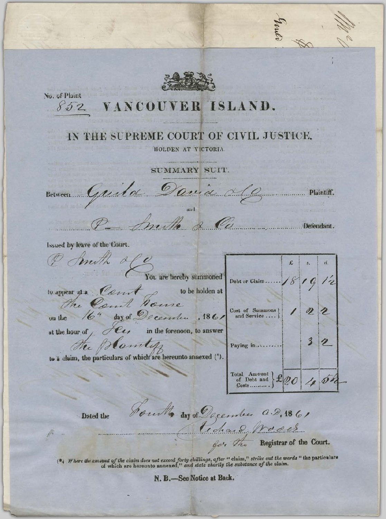No. of Plaint  $852$ ISLAND. **VANCOUVER** IN THE SUPREME COURT OF CIVIL JUSTICE. HOLDEN AT VICTORIA SUMMARY SUIT. Between Guild David 26 .................. Plaintiff. Defendant. Issued by leave of the Court.  $d \ell$ mith £ You are hereby summoned Debt or Claim... to appear at a Court to be holden at Court Some The. day of December , 1861  $\begin{array}{ll}\n \text{Cost of} & \text{Summons} \\
 \text{and Service} \dots \end{array}$  $164$ on the in the forenoon, to answer at the hour of / C  $\overline{\mathbf{3}}$ the follows tipped and the context of which are hereunto annexed (\*). Paying in.... Total Amount<br>
of Debt and<br>
Costs  $x_{00}$  $\varnothing$ Jourth day of December a.D. 1861 Dated the Tida 2 Nacles der The Registrar of the Court. ( $\ast$ ). Where the unount of the claim does not exceed forty shillings, after " claim," strike out the words " the particulars of which are hereunto annexed," and state shortly the substance of the claim. N. B.-See Notice at Back.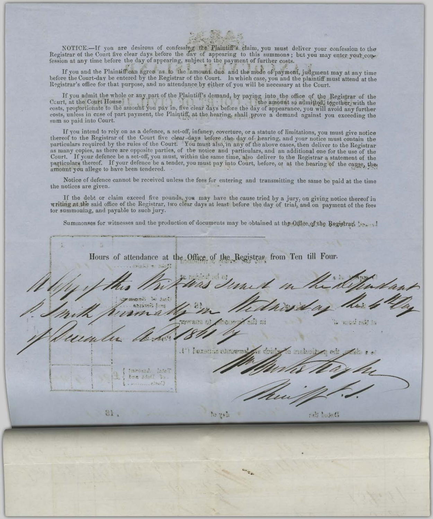

NOTICE.--If you are desirous of confessing the Plaintiff's claim, you must deliver your confession to the Registrar of the Court five clear days before the day of appearing to this summons; but you may enter your confession at any time before the day of appearing, subject to the payment of further costs.

If you and the Plaintiff can agree 'as to the 'amount due and the mode of payment, judgment may at any time before the Court-day be entered by the Registrar of the Court. In which case, you and the plaintiff must attend at the Registrar's office for that purpose, and no attendance by either of you will be necessary at the Court.

If you admit the whole or any part of the Plaintiff's demand, by paying into the office of the Registrar of the Court, at the Court House the amount so admitted, together, with the costs, proportionate to the amount you pay in, five clear days before the day of appearance, you will avoid any further costs, unless in case of part payment, the Plaintiff, at the hearing, shall prove a demand against you exceeding the sum so paid into Court.

If you intend to rely on as a defence, a set-off, infancy, coverture, or a statute of limitations, you must give notice thereof to the Registrar of the Court five clear days before the day of hearing, and your notice must as many copies, as there are opposite parties, of the notice and particulars, and an additional one for the use of the Court. If your defence be a set-off, you must, within the same time, also deliver to the Registrar a statement of the particulars thereof. If your defence be a tender, you must pay into Court, before, or at the hearing of the cause, the amount you allege to have been tendered.

Notice of defence cannot be received unless the fees for entering and transmitting the same be paid at the time the notices are given.

If the debt or claim exceed five pounds, you may have the cause tried by a jury, on giving notice thereof in writing at the said office of the Registrar, two clear days at least before the day of trial, and on payment of the fees tor summoning, and payable to such jury.

Summonses for witnesses and the production of documents may be obtained at the Office of the Registrar, 1874-18

Hours of attendance at the Office of the Registrar from Ten till Four. Ahouted Suite 100 100 1 presented Paxement relationers Smitheral LateT Donald Hitler ar, ndi basetti by pale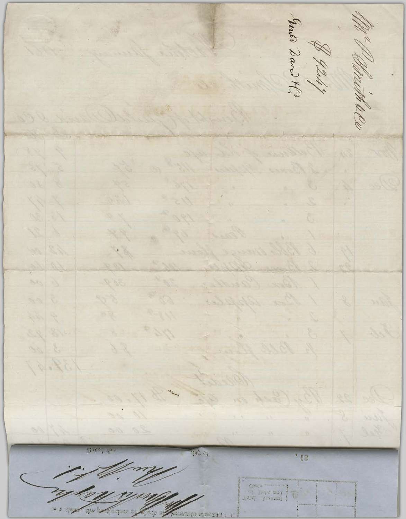